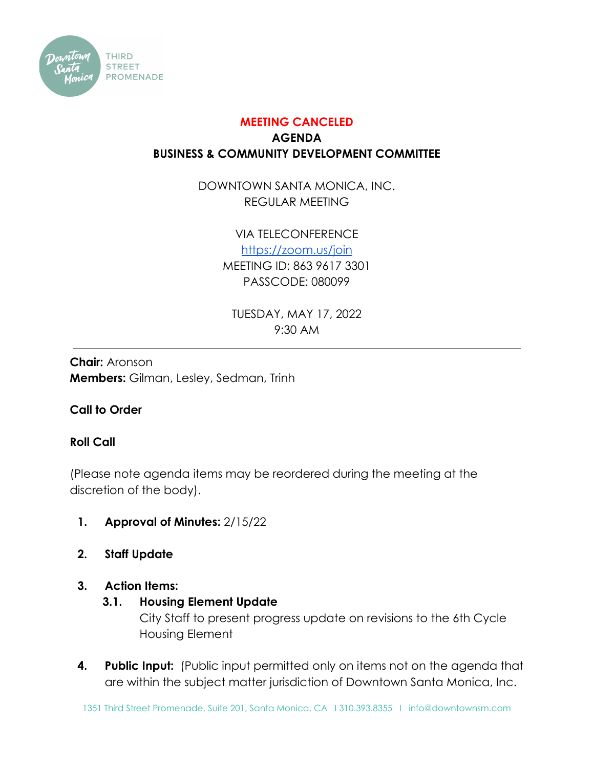

# **MEETING CANCELED AGENDA BUSINESS & COMMUNITY DEVELOPMENT COMMITTEE**

DOWNTOWN SANTA MONICA, INC. REGULAR MEETING

> VIA TELECONFERENCE <https://zoom.us/join> MEETING ID: 863 9617 3301 PASSCODE: 080099

TUESDAY, MAY 17, 2022 9:30 AM

**Chair:** Aronson **Members:** Gilman, Lesley, Sedman, Trinh

## **Call to Order**

### **Roll Call**

(Please note agenda items may be reordered during the meeting at the discretion of the body).

- **1. Approval of Minutes:** 2/15/22
- **2. Staff Update**

#### **3. Action Items:**

#### **3.1. Housing Element Update**

City Staff to present progress update on revisions to the 6th Cycle Housing Element

**4. Public Input:** (Public input permitted only on items not on the agenda that are within the subject matter jurisdiction of Downtown Santa Monica, Inc.